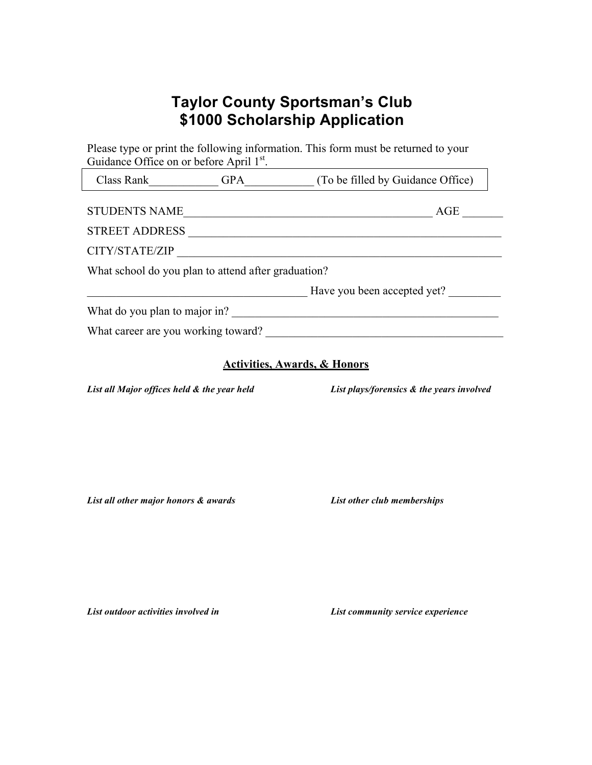## **Taylor County Sportsman's Club \$1000 Scholarship Application**

|                                                     | Guidance Office on or before April 1st. |                                   |
|-----------------------------------------------------|-----------------------------------------|-----------------------------------|
| Class Rank GPA                                      |                                         | (To be filled by Guidance Office) |
| <b>STUDENTS NAME</b>                                |                                         | AGE                               |
| <b>STREET ADDRESS</b>                               |                                         |                                   |
| CITY/STATE/ZIP                                      |                                         |                                   |
| What school do you plan to attend after graduation? |                                         |                                   |
|                                                     |                                         | Have you been accepted yet?       |
| What do you plan to major in?                       |                                         |                                   |
| What career are you working toward?                 |                                         |                                   |

## **Activities, Awards, & Honors**

*List all Major offices held & the year held List plays/forensics & the years involved*

*List all other major honors & awards List other club memberships*

*List outdoor activities involved in List community service experience*